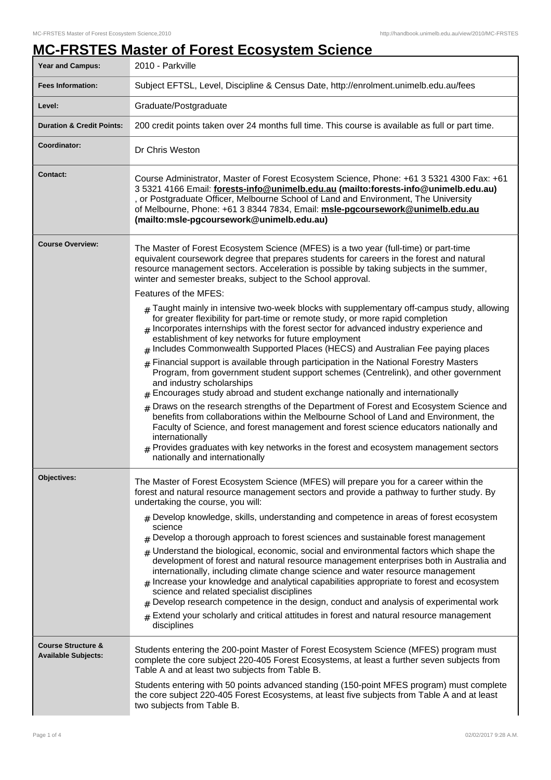## **MC-FRSTES Master of Forest Ecosystem Science**

| Year and Campus:                                            | 2010 - Parkville                                                                                                                                                                                                                                                                                                                                                                                                                                                                                                                                                                                                                                                                                                                                                                                                                                                                                                                                                                                                                                                  |  |
|-------------------------------------------------------------|-------------------------------------------------------------------------------------------------------------------------------------------------------------------------------------------------------------------------------------------------------------------------------------------------------------------------------------------------------------------------------------------------------------------------------------------------------------------------------------------------------------------------------------------------------------------------------------------------------------------------------------------------------------------------------------------------------------------------------------------------------------------------------------------------------------------------------------------------------------------------------------------------------------------------------------------------------------------------------------------------------------------------------------------------------------------|--|
| <b>Fees Information:</b>                                    | Subject EFTSL, Level, Discipline & Census Date, http://enrolment.unimelb.edu.au/fees                                                                                                                                                                                                                                                                                                                                                                                                                                                                                                                                                                                                                                                                                                                                                                                                                                                                                                                                                                              |  |
| Level:                                                      | Graduate/Postgraduate                                                                                                                                                                                                                                                                                                                                                                                                                                                                                                                                                                                                                                                                                                                                                                                                                                                                                                                                                                                                                                             |  |
| <b>Duration &amp; Credit Points:</b>                        | 200 credit points taken over 24 months full time. This course is available as full or part time.                                                                                                                                                                                                                                                                                                                                                                                                                                                                                                                                                                                                                                                                                                                                                                                                                                                                                                                                                                  |  |
| Coordinator:                                                | Dr Chris Weston                                                                                                                                                                                                                                                                                                                                                                                                                                                                                                                                                                                                                                                                                                                                                                                                                                                                                                                                                                                                                                                   |  |
| <b>Contact:</b>                                             | Course Administrator, Master of Forest Ecosystem Science, Phone: +61 3 5321 4300 Fax: +61<br>3 5321 4166 Email: forests-info@unimelb.edu.au (mailto:forests-info@unimelb.edu.au)<br>, or Postgraduate Officer, Melbourne School of Land and Environment, The University<br>of Melbourne, Phone: +61 3 8344 7834, Email: msle-pgcoursework@unimelb.edu.au<br>(mailto:msle-pgcoursework@unimelb.edu.au)                                                                                                                                                                                                                                                                                                                                                                                                                                                                                                                                                                                                                                                             |  |
| <b>Course Overview:</b>                                     | The Master of Forest Ecosystem Science (MFES) is a two year (full-time) or part-time<br>equivalent coursework degree that prepares students for careers in the forest and natural<br>resource management sectors. Acceleration is possible by taking subjects in the summer,<br>winter and semester breaks, subject to the School approval.                                                                                                                                                                                                                                                                                                                                                                                                                                                                                                                                                                                                                                                                                                                       |  |
|                                                             | Features of the MFES:<br>$_{\rm H}$ Taught mainly in intensive two-week blocks with supplementary off-campus study, allowing<br>for greater flexibility for part-time or remote study, or more rapid completion<br>$_{\#}$ Incorporates internships with the forest sector for advanced industry experience and<br>establishment of key networks for future employment<br># Includes Commonwealth Supported Places (HECS) and Australian Fee paying places                                                                                                                                                                                                                                                                                                                                                                                                                                                                                                                                                                                                        |  |
|                                                             | Financial support is available through participation in the National Forestry Masters<br>Program, from government student support schemes (Centrelink), and other government<br>and industry scholarships<br>Encourages study abroad and student exchange nationally and internationally<br>Draws on the research strengths of the Department of Forest and Ecosystem Science and<br>#<br>benefits from collaborations within the Melbourne School of Land and Environment, the<br>Faculty of Science, and forest management and forest science educators nationally and<br>internationally<br>Provides graduates with key networks in the forest and ecosystem management sectors<br>nationally and internationally                                                                                                                                                                                                                                                                                                                                              |  |
| Objectives:                                                 | The Master of Forest Ecosystem Science (MFES) will prepare you for a career within the<br>forest and natural resource management sectors and provide a pathway to further study. By<br>undertaking the course, you will:<br>$#$ Develop knowledge, skills, understanding and competence in areas of forest ecosystem<br>science<br>$_{\#}$ Develop a thorough approach to forest sciences and sustainable forest management<br>$_{\#}$ Understand the biological, economic, social and environmental factors which shape the<br>development of forest and natural resource management enterprises both in Australia and<br>internationally, including climate change science and water resource management<br>Increase your knowledge and analytical capabilities appropriate to forest and ecosystem<br>science and related specialist disciplines<br>$#$ Develop research competence in the design, conduct and analysis of experimental work<br>Extend your scholarly and critical attitudes in forest and natural resource management<br>$\pm$<br>disciplines |  |
| <b>Course Structure &amp;</b><br><b>Available Subjects:</b> | Students entering the 200-point Master of Forest Ecosystem Science (MFES) program must<br>complete the core subject 220-405 Forest Ecosystems, at least a further seven subjects from<br>Table A and at least two subjects from Table B.<br>Students entering with 50 points advanced standing (150-point MFES program) must complete<br>the core subject 220-405 Forest Ecosystems, at least five subjects from Table A and at least<br>two subjects from Table B.                                                                                                                                                                                                                                                                                                                                                                                                                                                                                                                                                                                               |  |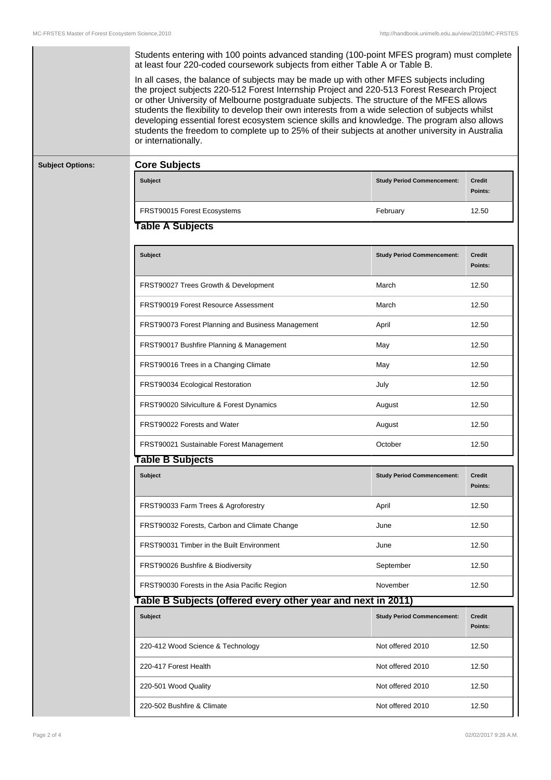| <b>Subject Options:</b> | Students entering with 100 points advanced standing (100-point MFES program) must complete<br>at least four 220-coded coursework subjects from either Table A or Table B.<br>In all cases, the balance of subjects may be made up with other MFES subjects including<br>the project subjects 220-512 Forest Internship Project and 220-513 Forest Research Project<br>or other University of Melbourne postgraduate subjects. The structure of the MFES allows<br>students the flexibility to develop their own interests from a wide selection of subjects whilst<br>developing essential forest ecosystem science skills and knowledge. The program also allows<br>students the freedom to complete up to 25% of their subjects at another university in Australia<br>or internationally. |                                   |                          |  |
|-------------------------|---------------------------------------------------------------------------------------------------------------------------------------------------------------------------------------------------------------------------------------------------------------------------------------------------------------------------------------------------------------------------------------------------------------------------------------------------------------------------------------------------------------------------------------------------------------------------------------------------------------------------------------------------------------------------------------------------------------------------------------------------------------------------------------------|-----------------------------------|--------------------------|--|
|                         | <b>Core Subjects</b><br>Subject                                                                                                                                                                                                                                                                                                                                                                                                                                                                                                                                                                                                                                                                                                                                                             | <b>Study Period Commencement:</b> | <b>Credit</b>            |  |
|                         |                                                                                                                                                                                                                                                                                                                                                                                                                                                                                                                                                                                                                                                                                                                                                                                             |                                   | Points:                  |  |
|                         | FRST90015 Forest Ecosystems                                                                                                                                                                                                                                                                                                                                                                                                                                                                                                                                                                                                                                                                                                                                                                 | February                          | 12.50                    |  |
|                         | <b>Table A Subjects</b>                                                                                                                                                                                                                                                                                                                                                                                                                                                                                                                                                                                                                                                                                                                                                                     |                                   |                          |  |
|                         | <b>Subject</b>                                                                                                                                                                                                                                                                                                                                                                                                                                                                                                                                                                                                                                                                                                                                                                              | <b>Study Period Commencement:</b> | <b>Credit</b><br>Points: |  |
|                         | FRST90027 Trees Growth & Development                                                                                                                                                                                                                                                                                                                                                                                                                                                                                                                                                                                                                                                                                                                                                        | March                             | 12.50                    |  |
|                         | FRST90019 Forest Resource Assessment                                                                                                                                                                                                                                                                                                                                                                                                                                                                                                                                                                                                                                                                                                                                                        | March                             | 12.50                    |  |
|                         | FRST90073 Forest Planning and Business Management                                                                                                                                                                                                                                                                                                                                                                                                                                                                                                                                                                                                                                                                                                                                           | April                             | 12.50                    |  |
|                         | FRST90017 Bushfire Planning & Management                                                                                                                                                                                                                                                                                                                                                                                                                                                                                                                                                                                                                                                                                                                                                    | May                               | 12.50                    |  |
|                         | FRST90016 Trees in a Changing Climate                                                                                                                                                                                                                                                                                                                                                                                                                                                                                                                                                                                                                                                                                                                                                       | May                               | 12.50                    |  |
|                         | FRST90034 Ecological Restoration                                                                                                                                                                                                                                                                                                                                                                                                                                                                                                                                                                                                                                                                                                                                                            | July                              | 12.50                    |  |
|                         | FRST90020 Silviculture & Forest Dynamics                                                                                                                                                                                                                                                                                                                                                                                                                                                                                                                                                                                                                                                                                                                                                    | August                            | 12.50                    |  |
|                         | FRST90022 Forests and Water                                                                                                                                                                                                                                                                                                                                                                                                                                                                                                                                                                                                                                                                                                                                                                 | August                            | 12.50                    |  |
|                         | FRST90021 Sustainable Forest Management                                                                                                                                                                                                                                                                                                                                                                                                                                                                                                                                                                                                                                                                                                                                                     | October                           | 12.50                    |  |
|                         | Table B Subjects                                                                                                                                                                                                                                                                                                                                                                                                                                                                                                                                                                                                                                                                                                                                                                            |                                   |                          |  |
|                         | Subject                                                                                                                                                                                                                                                                                                                                                                                                                                                                                                                                                                                                                                                                                                                                                                                     | <b>Study Period Commencement:</b> | <b>Credit</b><br>Points: |  |
|                         | FRST90033 Farm Trees & Agroforestry                                                                                                                                                                                                                                                                                                                                                                                                                                                                                                                                                                                                                                                                                                                                                         | April                             | 12.50                    |  |
|                         | FRST90032 Forests, Carbon and Climate Change                                                                                                                                                                                                                                                                                                                                                                                                                                                                                                                                                                                                                                                                                                                                                | June                              | 12.50                    |  |
|                         | FRST90031 Timber in the Built Environment                                                                                                                                                                                                                                                                                                                                                                                                                                                                                                                                                                                                                                                                                                                                                   | June                              | 12.50                    |  |
|                         | FRST90026 Bushfire & Biodiversity                                                                                                                                                                                                                                                                                                                                                                                                                                                                                                                                                                                                                                                                                                                                                           | September                         | 12.50                    |  |
|                         | FRST90030 Forests in the Asia Pacific Region                                                                                                                                                                                                                                                                                                                                                                                                                                                                                                                                                                                                                                                                                                                                                | November                          | 12.50                    |  |
|                         | Table B Subjects (offered every other year and next in 2011)                                                                                                                                                                                                                                                                                                                                                                                                                                                                                                                                                                                                                                                                                                                                |                                   |                          |  |
|                         | Subject                                                                                                                                                                                                                                                                                                                                                                                                                                                                                                                                                                                                                                                                                                                                                                                     | <b>Study Period Commencement:</b> | Credit<br>Points:        |  |
|                         | 220-412 Wood Science & Technology                                                                                                                                                                                                                                                                                                                                                                                                                                                                                                                                                                                                                                                                                                                                                           | Not offered 2010                  | 12.50                    |  |
|                         | 220-417 Forest Health                                                                                                                                                                                                                                                                                                                                                                                                                                                                                                                                                                                                                                                                                                                                                                       | Not offered 2010                  | 12.50                    |  |
|                         | 220-501 Wood Quality                                                                                                                                                                                                                                                                                                                                                                                                                                                                                                                                                                                                                                                                                                                                                                        | Not offered 2010                  | 12.50                    |  |
|                         | 220-502 Bushfire & Climate                                                                                                                                                                                                                                                                                                                                                                                                                                                                                                                                                                                                                                                                                                                                                                  | Not offered 2010                  | 12.50                    |  |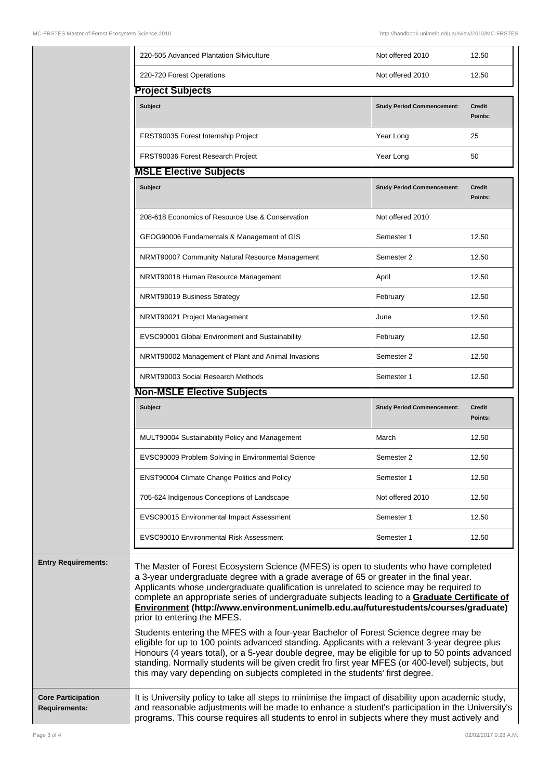|                            | 220-505 Advanced Plantation Silviculture                                                                                                                                                                                                                                                                                                                                                                                                                                                                                                                                                                                                                                                                                                                                                                                                                                                                                                                                            | Not offered 2010                  | 12.50                    |
|----------------------------|-------------------------------------------------------------------------------------------------------------------------------------------------------------------------------------------------------------------------------------------------------------------------------------------------------------------------------------------------------------------------------------------------------------------------------------------------------------------------------------------------------------------------------------------------------------------------------------------------------------------------------------------------------------------------------------------------------------------------------------------------------------------------------------------------------------------------------------------------------------------------------------------------------------------------------------------------------------------------------------|-----------------------------------|--------------------------|
|                            | 220-720 Forest Operations                                                                                                                                                                                                                                                                                                                                                                                                                                                                                                                                                                                                                                                                                                                                                                                                                                                                                                                                                           | Not offered 2010                  | 12.50                    |
|                            | <b>Project Subjects</b>                                                                                                                                                                                                                                                                                                                                                                                                                                                                                                                                                                                                                                                                                                                                                                                                                                                                                                                                                             |                                   |                          |
|                            | <b>Subject</b>                                                                                                                                                                                                                                                                                                                                                                                                                                                                                                                                                                                                                                                                                                                                                                                                                                                                                                                                                                      | <b>Study Period Commencement:</b> | Credit<br>Points:        |
|                            | FRST90035 Forest Internship Project                                                                                                                                                                                                                                                                                                                                                                                                                                                                                                                                                                                                                                                                                                                                                                                                                                                                                                                                                 | Year Long                         | 25                       |
|                            | FRST90036 Forest Research Project                                                                                                                                                                                                                                                                                                                                                                                                                                                                                                                                                                                                                                                                                                                                                                                                                                                                                                                                                   | Year Long                         | 50                       |
|                            | <b>MSLE Elective Subjects</b>                                                                                                                                                                                                                                                                                                                                                                                                                                                                                                                                                                                                                                                                                                                                                                                                                                                                                                                                                       |                                   |                          |
|                            | <b>Subject</b>                                                                                                                                                                                                                                                                                                                                                                                                                                                                                                                                                                                                                                                                                                                                                                                                                                                                                                                                                                      | <b>Study Period Commencement:</b> | Credit<br>Points:        |
|                            | 208-618 Economics of Resource Use & Conservation                                                                                                                                                                                                                                                                                                                                                                                                                                                                                                                                                                                                                                                                                                                                                                                                                                                                                                                                    | Not offered 2010                  |                          |
|                            | GEOG90006 Fundamentals & Management of GIS                                                                                                                                                                                                                                                                                                                                                                                                                                                                                                                                                                                                                                                                                                                                                                                                                                                                                                                                          | Semester 1                        | 12.50                    |
|                            | NRMT90007 Community Natural Resource Management                                                                                                                                                                                                                                                                                                                                                                                                                                                                                                                                                                                                                                                                                                                                                                                                                                                                                                                                     | Semester 2                        | 12.50                    |
|                            | NRMT90018 Human Resource Management                                                                                                                                                                                                                                                                                                                                                                                                                                                                                                                                                                                                                                                                                                                                                                                                                                                                                                                                                 | April                             | 12.50                    |
|                            | NRMT90019 Business Strategy                                                                                                                                                                                                                                                                                                                                                                                                                                                                                                                                                                                                                                                                                                                                                                                                                                                                                                                                                         | February                          | 12.50                    |
|                            | NRMT90021 Project Management                                                                                                                                                                                                                                                                                                                                                                                                                                                                                                                                                                                                                                                                                                                                                                                                                                                                                                                                                        | June                              | 12.50                    |
|                            | EVSC90001 Global Environment and Sustainability                                                                                                                                                                                                                                                                                                                                                                                                                                                                                                                                                                                                                                                                                                                                                                                                                                                                                                                                     | February                          | 12.50                    |
|                            | NRMT90002 Management of Plant and Animal Invasions                                                                                                                                                                                                                                                                                                                                                                                                                                                                                                                                                                                                                                                                                                                                                                                                                                                                                                                                  | Semester 2                        | 12.50                    |
|                            | NRMT90003 Social Research Methods                                                                                                                                                                                                                                                                                                                                                                                                                                                                                                                                                                                                                                                                                                                                                                                                                                                                                                                                                   | Semester 1                        | 12.50                    |
|                            | <b>Non-MSLE Elective Subjects</b>                                                                                                                                                                                                                                                                                                                                                                                                                                                                                                                                                                                                                                                                                                                                                                                                                                                                                                                                                   |                                   |                          |
|                            | <b>Subject</b>                                                                                                                                                                                                                                                                                                                                                                                                                                                                                                                                                                                                                                                                                                                                                                                                                                                                                                                                                                      | <b>Study Period Commencement:</b> | <b>Credit</b><br>Points: |
|                            | MULT90004 Sustainability Policy and Management                                                                                                                                                                                                                                                                                                                                                                                                                                                                                                                                                                                                                                                                                                                                                                                                                                                                                                                                      | March                             | 12.50                    |
|                            | EVSC90009 Problem Solving in Environmental Science                                                                                                                                                                                                                                                                                                                                                                                                                                                                                                                                                                                                                                                                                                                                                                                                                                                                                                                                  | Semester 2                        | 12.50                    |
|                            | ENST90004 Climate Change Politics and Policy                                                                                                                                                                                                                                                                                                                                                                                                                                                                                                                                                                                                                                                                                                                                                                                                                                                                                                                                        | Semester 1                        | 12.50                    |
|                            | 705-624 Indigenous Conceptions of Landscape                                                                                                                                                                                                                                                                                                                                                                                                                                                                                                                                                                                                                                                                                                                                                                                                                                                                                                                                         | Not offered 2010                  | 12.50                    |
|                            | EVSC90015 Environmental Impact Assessment                                                                                                                                                                                                                                                                                                                                                                                                                                                                                                                                                                                                                                                                                                                                                                                                                                                                                                                                           | Semester 1                        | 12.50                    |
|                            | <b>EVSC90010 Environmental Risk Assessment</b>                                                                                                                                                                                                                                                                                                                                                                                                                                                                                                                                                                                                                                                                                                                                                                                                                                                                                                                                      | Semester 1                        | 12.50                    |
| <b>Entry Requirements:</b> | The Master of Forest Ecosystem Science (MFES) is open to students who have completed<br>a 3-year undergraduate degree with a grade average of 65 or greater in the final year.<br>Applicants whose undergraduate qualification is unrelated to science may be required to<br>complete an appropriate series of undergraduate subjects leading to a Graduate Certificate of<br>Environment (http://www.environment.unimelb.edu.au/futurestudents/courses/graduate)<br>prior to entering the MFES.<br>Students entering the MFES with a four-year Bachelor of Forest Science degree may be<br>eligible for up to 100 points advanced standing. Applicants with a relevant 3-year degree plus<br>Honours (4 years total), or a 5-year double degree, may be eligible for up to 50 points advanced<br>standing. Normally students will be given credit fro first year MFES (or 400-level) subjects, but<br>this may vary depending on subjects completed in the students' first degree. |                                   |                          |
|                            |                                                                                                                                                                                                                                                                                                                                                                                                                                                                                                                                                                                                                                                                                                                                                                                                                                                                                                                                                                                     |                                   |                          |

**Core Participation Requirements:**

It is University policy to take all steps to minimise the impact of disability upon academic study, and reasonable adjustments will be made to enhance a student's participation in the University's programs. This course requires all students to enrol in subjects where they must actively and